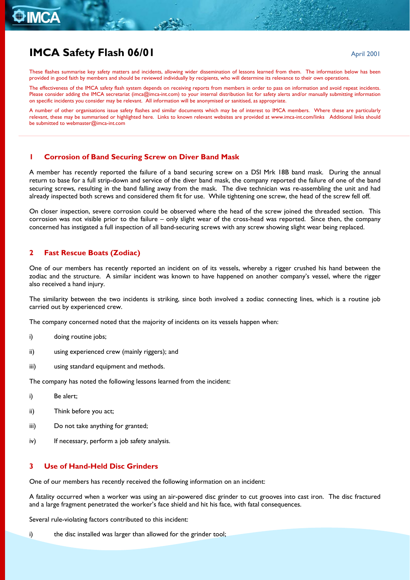# **IMCA Safety Flash 06/01 April 2001 April 2001**

These flashes summarise key safety matters and incidents, allowing wider dissemination of lessons learned from them. The information below has been provided in good faith by members and should be reviewed individually by recipients, who will determine its relevance to their own operations.

The effectiveness of the IMCA safety flash system depends on receiving reports from members in order to pass on information and avoid repeat incidents. Please consider adding the IMCA secretariat ([imca@imca-int.com](mailto:imca@imca-int.com)) to your internal distribution list for safety alerts and/or manually submitting information on specific incidents you consider may be relevant. All information will be anonymised or sanitised, as appropriate.

A number of other organisations issue safety flashes and similar documents which may be of interest to IMCA members. Where these are particularly relevant, these may be summarised or highlighted here. Links to known relevant websites are provided at [www.imca-int.com/links](http://www.imca-int.com/links) Additional links should be submitted to [webmaster@imca-int.com](mailto:webmaster@imca-int.com) 

#### **1 Corrosion of Band Securing Screw on Diver Band Mask**

A member has recently reported the failure of a band securing screw on a DSI Mrk 18B band mask. During the annual return to base for a full strip-down and service of the diver band mask, the company reported the failure of one of the band securing screws, resulting in the band falling away from the mask. The dive technician was re-assembling the unit and had already inspected both screws and considered them fit for use. While tightening one screw, the head of the screw fell off.

On closer inspection, severe corrosion could be observed where the head of the screw joined the threaded section. This corrosion was not visible prior to the failure – only slight wear of the cross-head was reported. Since then, the company concerned has instigated a full inspection of all band-securing screws with any screw showing slight wear being replaced.

## **2 Fast Rescue Boats (Zodiac)**

One of our members has recently reported an incident on of its vessels, whereby a rigger crushed his hand between the zodiac and the structure. A similar incident was known to have happened on another company's vessel, where the rigger also received a hand injury.

The similarity between the two incidents is striking, since both involved a zodiac connecting lines, which is a routine job carried out by experienced crew.

The company concerned noted that the majority of incidents on its vessels happen when:

- i) doing routine jobs:
- ii) using experienced crew (mainly riggers); and
- iii) using standard equipment and methods.

The company has noted the following lessons learned from the incident:

- i) Be alert;
- ii) Think before you act;
- iii) Do not take anything for granted;
- iv) If necessary, perform a job safety analysis.

### **3 Use of Hand-Held Disc Grinders**

One of our members has recently received the following information on an incident:

A fatality occurred when a worker was using an air-powered disc grinder to cut grooves into cast iron. The disc fractured and a large fragment penetrated the worker's face shield and hit his face, with fatal consequences.

Several rule-violating factors contributed to this incident:

i) the disc installed was larger than allowed for the grinder tool;